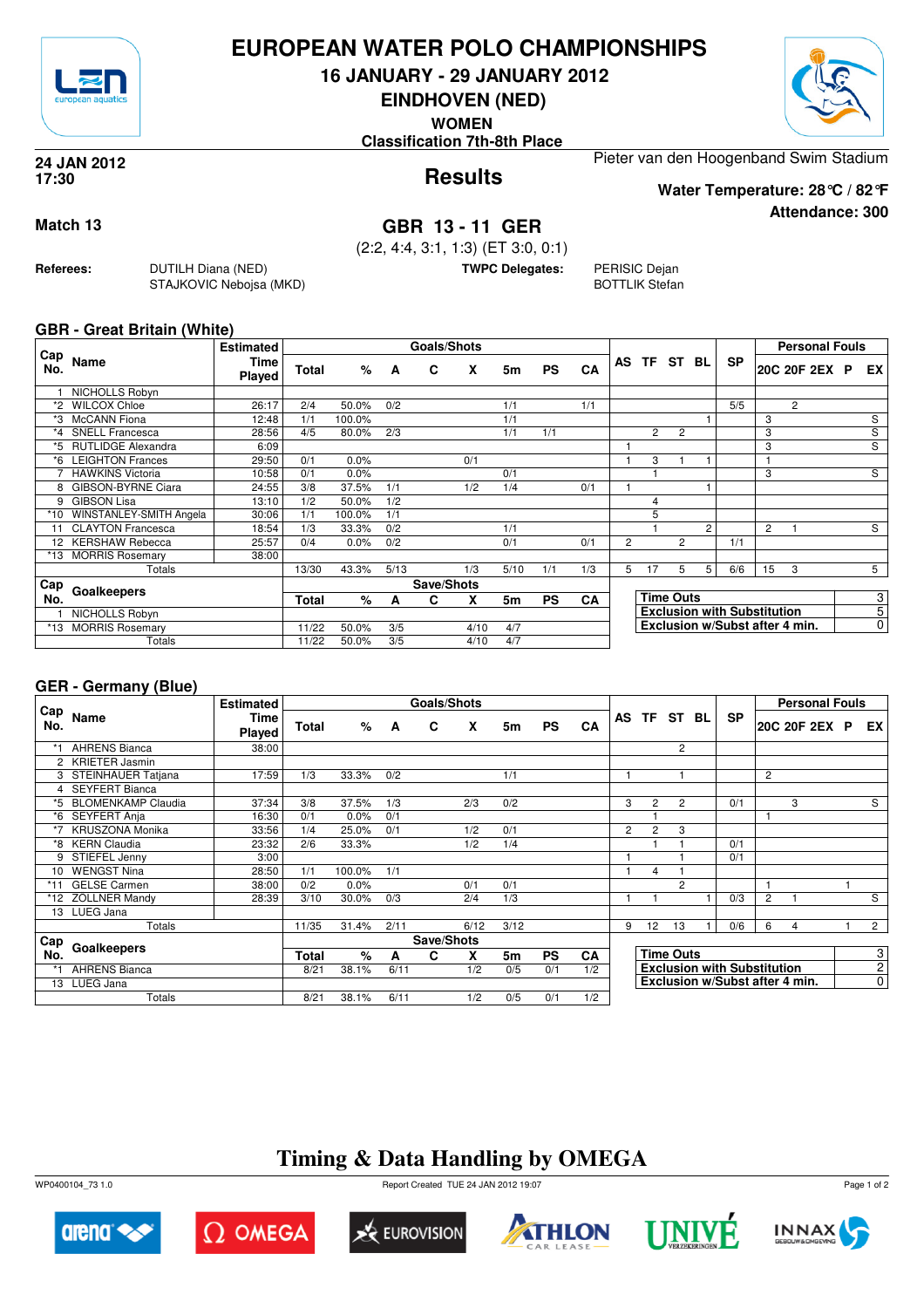

### **EUROPEAN WATER POLO CHAMPIONSHIPS**

**16 JANUARY - 29 JANUARY 2012**

**EINDHOVEN (NED) WOMEN**



**Attendance: 300**

**Results 24 JAN 2012 17:30**

**Classification 7th-8th Place**

Pieter van den Hoogenband Swim Stadium

**Water Temperature: 28°C / 82°F**

**Match 13 GBR 13 - 11 GER**

(2:2, 4:4, 3:1, 1:3) (ET 3:0, 0:1)

**TWPC Delegates:** PERISIC Dejan

BOTTLIK Stefan

#### **GBR - Great Britain (White)**

**Referees:** DUTILH Diana (NED)

STAJKOVIC Nebojsa (MKD)

| Cap     |                           | <b>Estimated</b>      |              |        |            | <b>Goals/Shots</b> |      |           |           |           |                                    |                |                |                |           |                | <b>Personal Fouls</b> |                |
|---------|---------------------------|-----------------------|--------------|--------|------------|--------------------|------|-----------|-----------|-----------|------------------------------------|----------------|----------------|----------------|-----------|----------------|-----------------------|----------------|
| No.     | Name                      | Time<br><b>Played</b> | <b>Total</b> | %      | A          | C                  | X    | 5m        | <b>PS</b> | <b>CA</b> |                                    | AS TF          | ST             | BL.            | <b>SP</b> |                | 20C 20F 2EX P         | EX             |
|         | NICHOLLS Robyn            |                       |              |        |            |                    |      |           |           |           |                                    |                |                |                |           |                |                       |                |
|         | <b>WILCOX Chloe</b>       | 26:17                 | 2/4          | 50.0%  | 0/2        |                    |      | 1/1       |           | 1/1       |                                    |                |                |                | 5/5       |                | 2                     |                |
| *3      | <b>McCANN</b> Fiona       | 12:48                 | 1/1          | 100.0% |            |                    |      | 1/1       |           |           |                                    |                |                |                |           | 3              |                       | S              |
| $*_{4}$ | <b>SNELL Francesca</b>    | 28:56                 | 4/5          | 80.0%  | 2/3        |                    |      | 1/1       | 1/1       |           |                                    | $\overline{2}$ | $\overline{2}$ |                |           | 3              |                       | $\overline{s}$ |
| *5      | <b>RUTLIDGE Alexandra</b> | 6:09                  |              |        |            |                    |      |           |           |           |                                    |                |                |                |           | 3              |                       | S              |
| *6      | <b>LEIGHTON Frances</b>   | 29:50                 | 0/1          | 0.0%   |            |                    | 0/1  |           |           |           |                                    | 3              |                |                |           |                |                       |                |
|         | <b>HAWKINS Victoria</b>   | 10:58                 | 0/1          | 0.0%   |            |                    |      | 0/1       |           |           |                                    |                |                |                |           | 3              |                       | S              |
| 8       | GIBSON-BYRNE Ciara        | 24:55                 | 3/8          | 37.5%  | 1/1        |                    | 1/2  | 1/4       |           | 0/1       |                                    |                |                |                |           |                |                       |                |
| 9       | <b>GIBSON Lisa</b>        | 13:10                 | 1/2          | 50.0%  | 1/2        |                    |      |           |           |           |                                    | 4              |                |                |           |                |                       |                |
| $*10$   | WINSTANLEY-SMITH Angela   | 30:06                 | 1/1          | 100.0% | 1/1        |                    |      |           |           |           |                                    | 5              |                |                |           |                |                       |                |
| 11      | <b>CLAYTON Francesca</b>  | 18:54                 | 1/3          | 33.3%  | 0/2        |                    |      | 1/1       |           |           |                                    |                |                | $\overline{2}$ |           | $\overline{2}$ |                       | S              |
|         | <b>KERSHAW Rebecca</b>    | 25:57                 | 0/4          | 0.0%   | 0/2        |                    |      | 0/1       |           | 0/1       | $\overline{2}$                     |                | 2              |                | 1/1       |                |                       |                |
| *13     | <b>MORRIS Rosemary</b>    | 38:00                 |              |        |            |                    |      |           |           |           |                                    |                |                |                |           |                |                       |                |
|         | Totals                    |                       | 13/30        | 43.3%  | 5/13       |                    | 1/3  | 5/10      | 1/1       | 1/3       | 5                                  | 17             | 5              | 5              | 6/6       | 15             | 3                     | 5              |
| Cap     | Goalkeepers               |                       |              |        | Save/Shots |                    |      |           |           |           |                                    |                |                |                |           |                |                       |                |
| No.     |                           | Total                 | %            | A      | С          | x                  | 5m   | <b>PS</b> | CA        |           | <b>Time Outs</b>                   |                |                |                |           |                | 3                     |                |
|         | NICHOLLS Robyn            |                       |              |        |            |                    |      |           |           |           | <b>Exclusion with Substitution</b> |                |                |                |           | $\overline{5}$ |                       |                |
| *13     | <b>MORRIS Rosemary</b>    |                       | 11/22        | 50.0%  | 3/5        |                    | 4/10 | 4/7       |           |           | Exclusion w/Subst after 4 min.     |                |                |                |           | $\overline{0}$ |                       |                |
|         | Totals                    |                       | 11/22        | 50.0%  | 3/5        |                    | 4/10 | 4/7       |           |           |                                    |                |                |                |           |                |                       |                |

#### **GER - Germany (Blue)**

|            |                           | <b>Estimated</b>      |              |        |      | Goals/Shots |      |      |           |           |                                |                                    |                  |     |           |                | <b>Personal Fouls</b> |                |
|------------|---------------------------|-----------------------|--------------|--------|------|-------------|------|------|-----------|-----------|--------------------------------|------------------------------------|------------------|-----|-----------|----------------|-----------------------|----------------|
| Cap<br>No. | Name                      | <b>Time</b><br>Played | <b>Total</b> | $\%$   | A    | C           | X    | 5m   | <b>PS</b> | <b>CA</b> |                                | AS TF ST                           |                  | BL. | <b>SP</b> |                | 20C 20F 2EX P         | EX             |
|            | <b>AHRENS Bianca</b>      | 38:00                 |              |        |      |             |      |      |           |           |                                |                                    | $\overline{2}$   |     |           |                |                       |                |
|            | 2 KRIETER Jasmin          |                       |              |        |      |             |      |      |           |           |                                |                                    |                  |     |           |                |                       |                |
|            | 3 STEINHAUER Tatjana      | 17:59                 | 1/3          | 33.3%  | 0/2  |             |      | 1/1  |           |           |                                |                                    |                  |     |           | 2              |                       |                |
|            | 4 SEYFERT Bianca          |                       |              |        |      |             |      |      |           |           |                                |                                    |                  |     |           |                |                       |                |
| *5         | <b>BLOMENKAMP Claudia</b> | 37:34                 | 3/8          | 37.5%  | 1/3  |             | 2/3  | 0/2  |           |           | 3                              | $\overline{2}$                     | $\overline{2}$   |     | 0/1       |                | 3                     | S              |
| *6         | SEYFERT Anja              | 16:30                 | 0/1          | 0.0%   | 0/1  |             |      |      |           |           |                                |                                    |                  |     |           |                |                       |                |
| $*7$       | <b>KRUSZONA Monika</b>    | 33:56                 | 1/4          | 25.0%  | 0/1  |             | 1/2  | 0/1  |           |           | 2                              | $\overline{2}$                     | 3                |     |           |                |                       |                |
|            | *8 KERN Claudia           | 23:32                 | 2/6          | 33.3%  |      |             | 1/2  | 1/4  |           |           |                                |                                    |                  |     | 0/1       |                |                       |                |
|            | 9 STIEFEL Jenny           | 3:00                  |              |        |      |             |      |      |           |           |                                |                                    |                  |     | 0/1       |                |                       |                |
| 10         | <b>WENGST Nina</b>        | 28:50                 | 1/1          | 100.0% | 1/1  |             |      |      |           |           |                                | 4                                  |                  |     |           |                |                       |                |
| $*11$      | <b>GELSE Carmen</b>       | 38:00                 | 0/2          | 0.0%   |      |             | 0/1  | 0/1  |           |           |                                |                                    | $\overline{2}$   |     |           |                |                       |                |
|            | *12 ZÖLLNER Mandy         | 28:39                 | 3/10         | 30.0%  | 0/3  |             | 2/4  | 1/3  |           |           |                                |                                    |                  |     | 0/3       | $\overline{2}$ |                       | S              |
|            | 13 LUEG Jana              |                       |              |        |      |             |      |      |           |           |                                |                                    |                  |     |           |                |                       |                |
|            | Totals                    |                       | 11/35        | 31.4%  | 2/11 |             | 6/12 | 3/12 |           |           | 9                              | 12                                 | 13               |     | 0/6       | 6              | 4                     | $\overline{2}$ |
| Cap        |                           |                       |              |        |      | Save/Shots  |      |      |           |           |                                |                                    |                  |     |           |                |                       |                |
| No.        | Goalkeepers               |                       | <b>Total</b> | $\%$   | A    | C           | X    | 5m   | <b>PS</b> | <b>CA</b> |                                |                                    | <b>Time Outs</b> |     |           |                |                       | 3              |
|            | <b>AHRENS Bianca</b>      |                       | 8/21         | 38.1%  | 6/11 |             | 1/2  | 0/5  | 0/1       | 1/2       |                                | <b>Exclusion with Substitution</b> |                  |     |           | $\overline{2}$ |                       |                |
|            | 13 LUEG Jana              |                       |              |        |      |             |      |      |           |           | Exclusion w/Subst after 4 min. |                                    |                  |     |           |                | $\mathbf 0$           |                |
|            | Totals                    |                       | 8/21         | 38.1%  | 6/11 |             | 1/2  | 0/5  | 0/1       | 1/2       |                                |                                    |                  |     |           |                |                       |                |

## **Timing & Data Handling by OMEGA**

WP0400104\_73 1.0 Report Created TUE 24 JAN 2012 19:07













Page 1 of 2